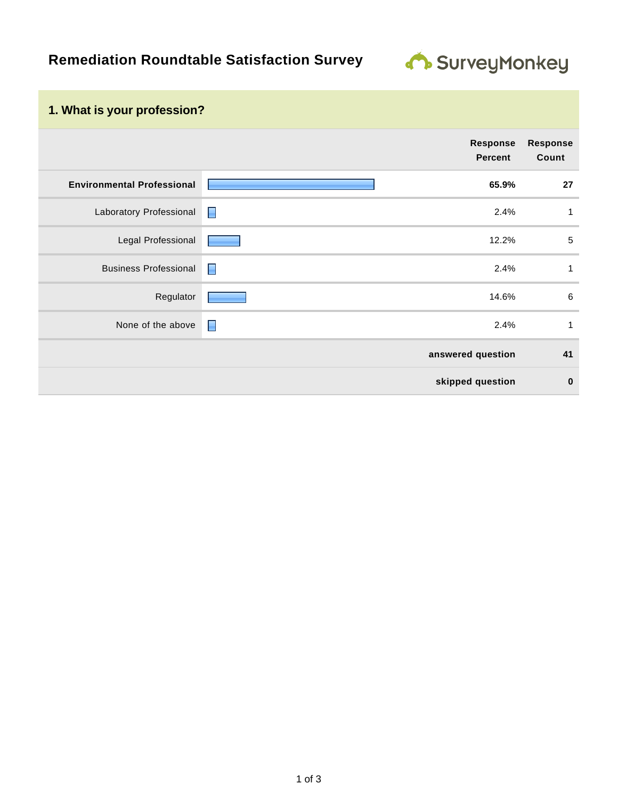

## **1. What is your profession?**

|                                   | Response<br><b>Percent</b> |      | <b>Response</b><br>Count |
|-----------------------------------|----------------------------|------|--------------------------|
| <b>Environmental Professional</b> | 65.9%                      |      | 27                       |
| Laboratory Professional           | $\blacksquare$             | 2.4% | 1                        |
| Legal Professional                | 12.2%                      |      | $\sqrt{5}$               |
| <b>Business Professional</b>      | $\blacksquare$             | 2.4% | 1                        |
| Regulator                         | 14.6%                      |      | $6\phantom{1}6$          |
| None of the above                 | $\blacksquare$             | 2.4% | 1                        |
|                                   | answered question          |      | 41                       |
|                                   | skipped question           |      | $\bf{0}$                 |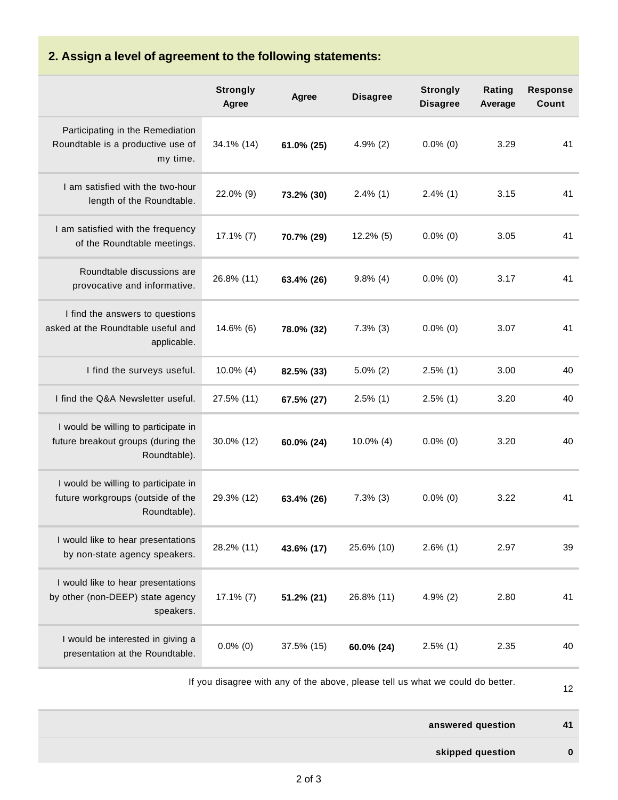## **2. Assign a level of agreement to the following statements:**

|                                                                                            | <b>Strongly</b><br>Agree | Agree      | <b>Disagree</b> | <b>Strongly</b><br><b>Disagree</b> | Rating<br>Average | <b>Response</b><br>Count |
|--------------------------------------------------------------------------------------------|--------------------------|------------|-----------------|------------------------------------|-------------------|--------------------------|
| Participating in the Remediation<br>Roundtable is a productive use of<br>my time.          | 34.1% (14)               | 61.0% (25) | $4.9\%$ (2)     | $0.0\%$ (0)                        | 3.29              | 41                       |
| I am satisfied with the two-hour<br>length of the Roundtable.                              | 22.0% (9)                | 73.2% (30) | $2.4\%$ (1)     | $2.4\%$ (1)                        | 3.15              | 41                       |
| I am satisfied with the frequency<br>of the Roundtable meetings.                           | $17.1\%$ (7)             | 70.7% (29) | $12.2\%$ (5)    | $0.0\%$ (0)                        | 3.05              | 41                       |
| Roundtable discussions are<br>provocative and informative.                                 | 26.8% (11)               | 63.4% (26) | $9.8\%$ (4)     | $0.0\%$ (0)                        | 3.17              | 41                       |
| I find the answers to questions<br>asked at the Roundtable useful and<br>applicable.       | 14.6% (6)                | 78.0% (32) | $7.3\%$ (3)     | $0.0\%$ (0)                        | 3.07              | 41                       |
| I find the surveys useful.                                                                 | $10.0\%$ (4)             | 82.5% (33) | $5.0\%$ (2)     | $2.5\%$ (1)                        | 3.00              | 40                       |
| I find the Q&A Newsletter useful.                                                          | 27.5% (11)               | 67.5% (27) | $2.5\%$ (1)     | $2.5\%$ (1)                        | 3.20              | 40                       |
| I would be willing to participate in<br>future breakout groups (during the<br>Roundtable). | 30.0% (12)               | 60.0% (24) | $10.0\%$ (4)    | $0.0\%$ (0)                        | 3.20              | 40                       |
| I would be willing to participate in<br>future workgroups (outside of the<br>Roundtable).  | 29.3% (12)               | 63.4% (26) | $7.3\%$ (3)     | $0.0\%$ (0)                        | 3.22              | 41                       |
| I would like to hear presentations<br>by non-state agency speakers.                        | 28.2% (11)               | 43.6% (17) | 25.6% (10)      | $2.6\%$ (1)                        | 2.97              | 39                       |
| I would like to hear presentations<br>by other (non-DEEP) state agency<br>speakers.        | $17.1\%$ (7)             | 51.2% (21) | 26.8% (11)      | $4.9\%$ (2)                        | 2.80              | 41                       |
| I would be interested in giving a<br>presentation at the Roundtable.                       | $0.0\%$ (0)              | 37.5% (15) | 60.0% (24)      | $2.5\%$ (1)                        | 2.35              | 40                       |

12

**answered question 41**

**skipped question 0**

If you disagree with any of the above, please tell us what we could do better.